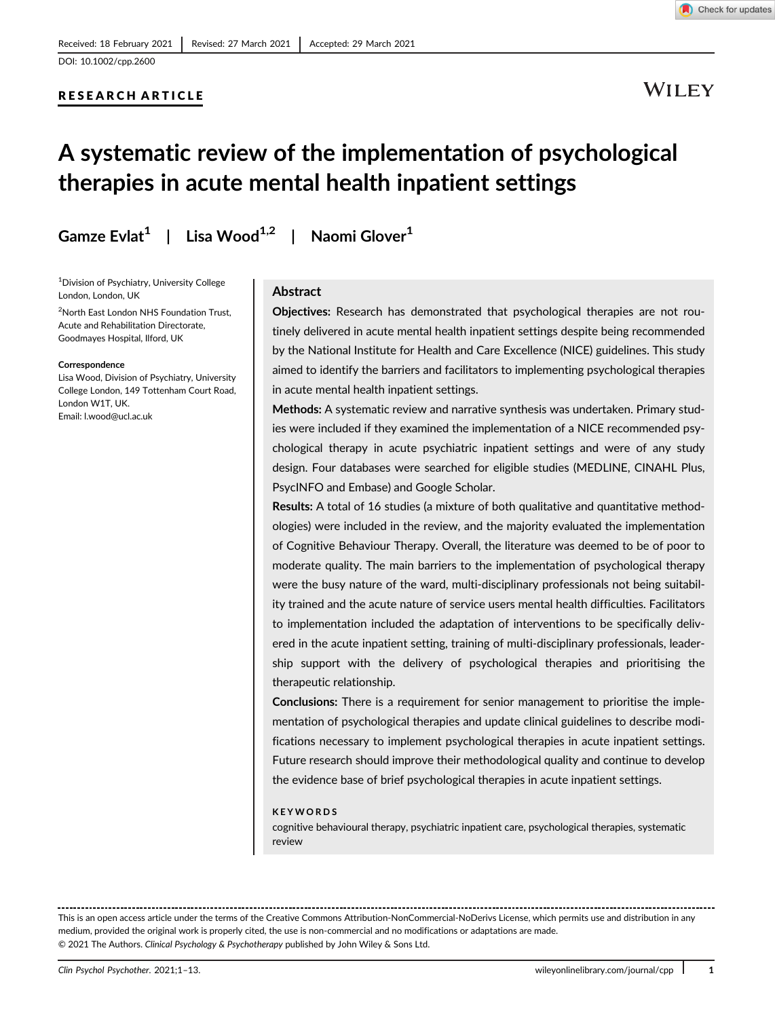#### RESEARCH ARTICLE



**WILEY** 

## A systematic review of the implementation of psychological therapies in acute mental health inpatient settings

Gamze Evlat<sup>1</sup> | Lisa Wood<sup>1,2</sup> | Naomi Glover<sup>1</sup>

1 Division of Psychiatry, University College London, London, UK

2 North East London NHS Foundation Trust, Acute and Rehabilitation Directorate, Goodmayes Hospital, Ilford, UK

#### **Correspondence**

Lisa Wood, Division of Psychiatry, University College London, 149 Tottenham Court Road, London W1T, UK. Email: [l.wood@ucl.ac.uk](mailto:l.wood@ucl.ac.uk)

#### Abstract

Objectives: Research has demonstrated that psychological therapies are not routinely delivered in acute mental health inpatient settings despite being recommended by the National Institute for Health and Care Excellence (NICE) guidelines. This study aimed to identify the barriers and facilitators to implementing psychological therapies in acute mental health inpatient settings.

Methods: A systematic review and narrative synthesis was undertaken. Primary studies were included if they examined the implementation of a NICE recommended psychological therapy in acute psychiatric inpatient settings and were of any study design. Four databases were searched for eligible studies (MEDLINE, CINAHL Plus, PsycINFO and Embase) and Google Scholar.

Results: A total of 16 studies (a mixture of both qualitative and quantitative methodologies) were included in the review, and the majority evaluated the implementation of Cognitive Behaviour Therapy. Overall, the literature was deemed to be of poor to moderate quality. The main barriers to the implementation of psychological therapy were the busy nature of the ward, multi-disciplinary professionals not being suitability trained and the acute nature of service users mental health difficulties. Facilitators to implementation included the adaptation of interventions to be specifically delivered in the acute inpatient setting, training of multi-disciplinary professionals, leadership support with the delivery of psychological therapies and prioritising the therapeutic relationship.

Conclusions: There is a requirement for senior management to prioritise the implementation of psychological therapies and update clinical guidelines to describe modifications necessary to implement psychological therapies in acute inpatient settings. Future research should improve their methodological quality and continue to develop the evidence base of brief psychological therapies in acute inpatient settings.

#### KEYWORDS

cognitive behavioural therapy, psychiatric inpatient care, psychological therapies, systematic review

This is an open access article under the terms of the [Creative Commons Attribution-NonCommercial-NoDerivs](http://creativecommons.org/licenses/by-nc-nd/4.0/) License, which permits use and distribution in any medium, provided the original work is properly cited, the use is non-commercial and no modifications or adaptations are made. © 2021 The Authors. Clinical Psychology & Psychotherapy published by John Wiley & Sons Ltd.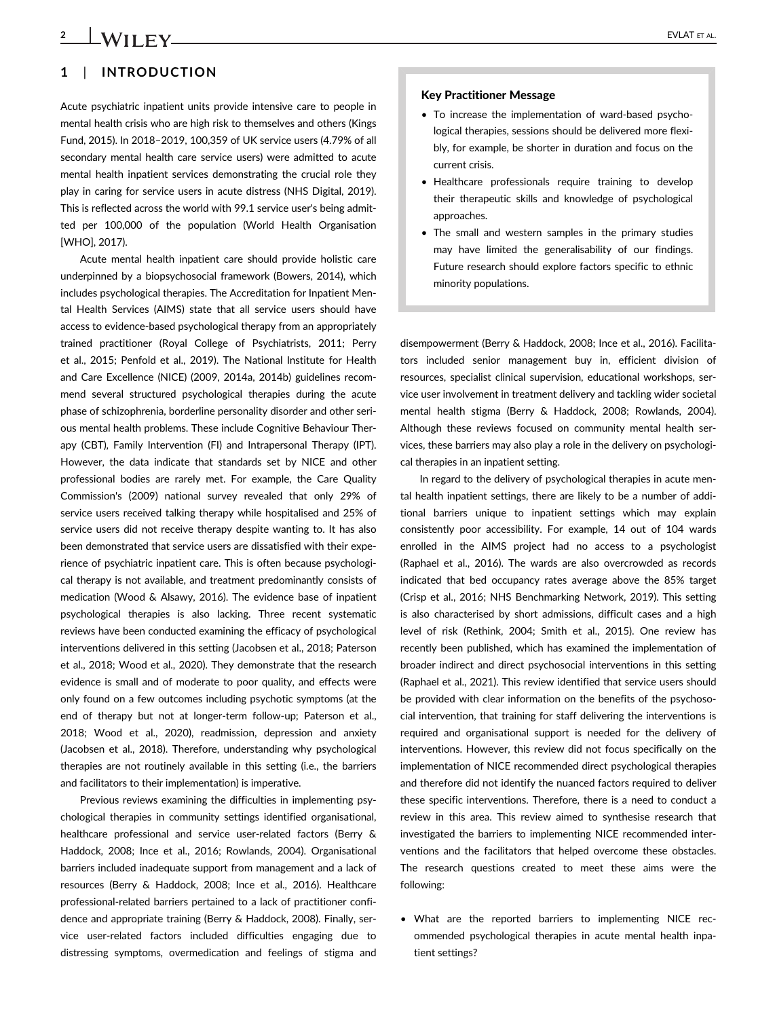2 **LWIIFY** EVLAT ET AL.

### 1 | INTRODUCTION

Acute psychiatric inpatient units provide intensive care to people in mental health crisis who are high risk to themselves and others (Kings Fund, 2015). In 2018–2019, 100,359 of UK service users (4.79% of all secondary mental health care service users) were admitted to acute mental health inpatient services demonstrating the crucial role they play in caring for service users in acute distress (NHS Digital, 2019). This is reflected across the world with 99.1 service user's being admitted per 100,000 of the population (World Health Organisation [WHO], 2017).

Acute mental health inpatient care should provide holistic care underpinned by a biopsychosocial framework (Bowers, 2014), which includes psychological therapies. The Accreditation for Inpatient Mental Health Services (AIMS) state that all service users should have access to evidence-based psychological therapy from an appropriately trained practitioner (Royal College of Psychiatrists, 2011; Perry et al., 2015; Penfold et al., 2019). The National Institute for Health and Care Excellence (NICE) (2009, 2014a, 2014b) guidelines recommend several structured psychological therapies during the acute phase of schizophrenia, borderline personality disorder and other serious mental health problems. These include Cognitive Behaviour Therapy (CBT), Family Intervention (FI) and Intrapersonal Therapy (IPT). However, the data indicate that standards set by NICE and other professional bodies are rarely met. For example, the Care Quality Commission's (2009) national survey revealed that only 29% of service users received talking therapy while hospitalised and 25% of service users did not receive therapy despite wanting to. It has also been demonstrated that service users are dissatisfied with their experience of psychiatric inpatient care. This is often because psychological therapy is not available, and treatment predominantly consists of medication (Wood & Alsawy, 2016). The evidence base of inpatient psychological therapies is also lacking. Three recent systematic reviews have been conducted examining the efficacy of psychological interventions delivered in this setting (Jacobsen et al., 2018; Paterson et al., 2018; Wood et al., 2020). They demonstrate that the research evidence is small and of moderate to poor quality, and effects were only found on a few outcomes including psychotic symptoms (at the end of therapy but not at longer-term follow-up; Paterson et al., 2018; Wood et al., 2020), readmission, depression and anxiety (Jacobsen et al., 2018). Therefore, understanding why psychological therapies are not routinely available in this setting (i.e., the barriers and facilitators to their implementation) is imperative.

Previous reviews examining the difficulties in implementing psychological therapies in community settings identified organisational, healthcare professional and service user-related factors (Berry & Haddock, 2008; Ince et al., 2016; Rowlands, 2004). Organisational barriers included inadequate support from management and a lack of resources (Berry & Haddock, 2008; Ince et al., 2016). Healthcare professional-related barriers pertained to a lack of practitioner confidence and appropriate training (Berry & Haddock, 2008). Finally, service user-related factors included difficulties engaging due to distressing symptoms, overmedication and feelings of stigma and

- To increase the implementation of ward-based psychological therapies, sessions should be delivered more flexibly, for example, be shorter in duration and focus on the current crisis.
- Healthcare professionals require training to develop their therapeutic skills and knowledge of psychological approaches.
- The small and western samples in the primary studies may have limited the generalisability of our findings. Future research should explore factors specific to ethnic minority populations.

disempowerment (Berry & Haddock, 2008; Ince et al., 2016). Facilitators included senior management buy in, efficient division of resources, specialist clinical supervision, educational workshops, service user involvement in treatment delivery and tackling wider societal mental health stigma (Berry & Haddock, 2008; Rowlands, 2004). Although these reviews focused on community mental health services, these barriers may also play a role in the delivery on psychological therapies in an inpatient setting.

In regard to the delivery of psychological therapies in acute mental health inpatient settings, there are likely to be a number of additional barriers unique to inpatient settings which may explain consistently poor accessibility. For example, 14 out of 104 wards enrolled in the AIMS project had no access to a psychologist (Raphael et al., 2016). The wards are also overcrowded as records indicated that bed occupancy rates average above the 85% target (Crisp et al., 2016; NHS Benchmarking Network, 2019). This setting is also characterised by short admissions, difficult cases and a high level of risk (Rethink, 2004; Smith et al., 2015). One review has recently been published, which has examined the implementation of broader indirect and direct psychosocial interventions in this setting (Raphael et al., 2021). This review identified that service users should be provided with clear information on the benefits of the psychosocial intervention, that training for staff delivering the interventions is required and organisational support is needed for the delivery of interventions. However, this review did not focus specifically on the implementation of NICE recommended direct psychological therapies and therefore did not identify the nuanced factors required to deliver these specific interventions. Therefore, there is a need to conduct a review in this area. This review aimed to synthesise research that investigated the barriers to implementing NICE recommended interventions and the facilitators that helped overcome these obstacles. The research questions created to meet these aims were the following:

• What are the reported barriers to implementing NICE recommended psychological therapies in acute mental health inpatient settings?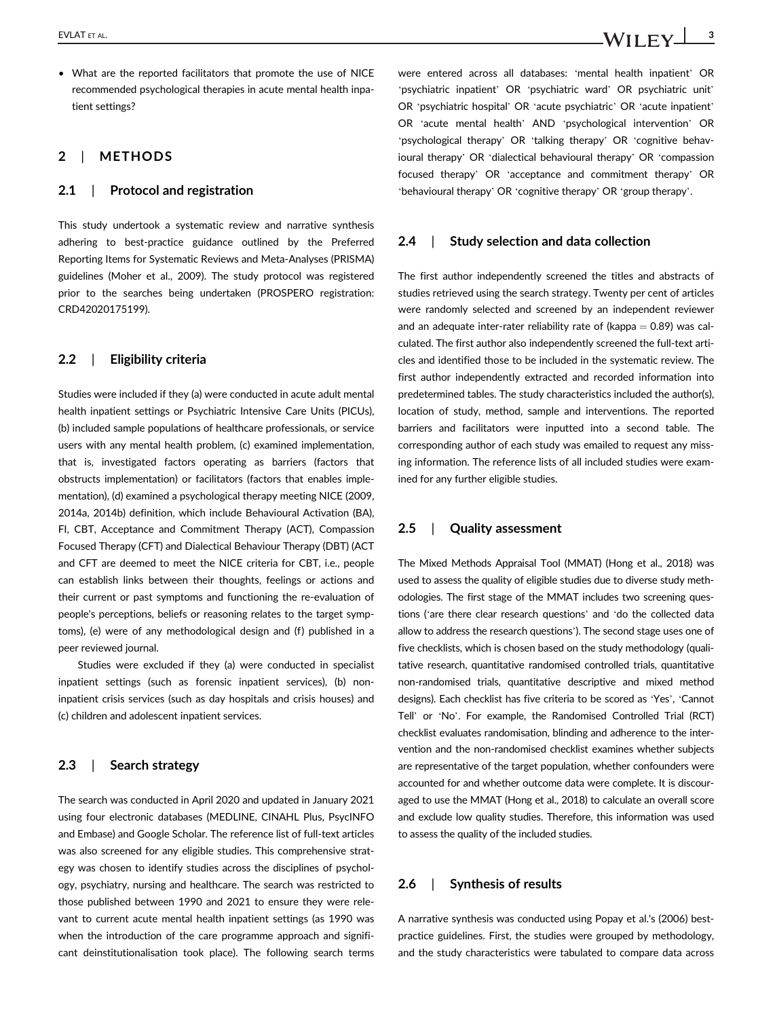• What are the reported facilitators that promote the use of NICE recommended psychological therapies in acute mental health inpatient settings?

#### 2 | METHODS

#### 2.1 | Protocol and registration

This study undertook a systematic review and narrative synthesis adhering to best-practice guidance outlined by the Preferred Reporting Items for Systematic Reviews and Meta-Analyses (PRISMA) guidelines (Moher et al., 2009). The study protocol was registered prior to the searches being undertaken (PROSPERO registration: CRD42020175199).

#### 2.2 | Eligibility criteria

Studies were included if they (a) were conducted in acute adult mental health inpatient settings or Psychiatric Intensive Care Units (PICUs), (b) included sample populations of healthcare professionals, or service users with any mental health problem, (c) examined implementation, that is, investigated factors operating as barriers (factors that obstructs implementation) or facilitators (factors that enables implementation), (d) examined a psychological therapy meeting NICE (2009, 2014a, 2014b) definition, which include Behavioural Activation (BA), FI, CBT, Acceptance and Commitment Therapy (ACT), Compassion Focused Therapy (CFT) and Dialectical Behaviour Therapy (DBT) (ACT and CFT are deemed to meet the NICE criteria for CBT, i.e., people can establish links between their thoughts, feelings or actions and their current or past symptoms and functioning the re-evaluation of people's perceptions, beliefs or reasoning relates to the target symptoms), (e) were of any methodological design and (f) published in a peer reviewed journal.

Studies were excluded if they (a) were conducted in specialist inpatient settings (such as forensic inpatient services), (b) noninpatient crisis services (such as day hospitals and crisis houses) and (c) children and adolescent inpatient services.

#### 2.3 | Search strategy

The search was conducted in April 2020 and updated in January 2021 using four electronic databases (MEDLINE, CINAHL Plus, PsycINFO and Embase) and Google Scholar. The reference list of full-text articles was also screened for any eligible studies. This comprehensive strategy was chosen to identify studies across the disciplines of psychology, psychiatry, nursing and healthcare. The search was restricted to those published between 1990 and 2021 to ensure they were relevant to current acute mental health inpatient settings (as 1990 was when the introduction of the care programme approach and significant deinstitutionalisation took place). The following search terms were entered across all databases: 'mental health inpatient' OR 'psychiatric inpatient' OR 'psychiatric ward' OR psychiatric unit' OR 'psychiatric hospital' OR 'acute psychiatric' OR 'acute inpatient' OR 'acute mental health' AND 'psychological intervention' OR 'psychological therapy' OR 'talking therapy' OR 'cognitive behavioural therapy' OR 'dialectical behavioural therapy' OR 'compassion focused therapy' OR 'acceptance and commitment therapy' OR 'behavioural therapy' OR 'cognitive therapy' OR 'group therapy'.

#### 2.4 | Study selection and data collection

The first author independently screened the titles and abstracts of studies retrieved using the search strategy. Twenty per cent of articles were randomly selected and screened by an independent reviewer and an adequate inter-rater reliability rate of (kappa  $= 0.89$ ) was calculated. The first author also independently screened the full-text articles and identified those to be included in the systematic review. The first author independently extracted and recorded information into predetermined tables. The study characteristics included the author(s), location of study, method, sample and interventions. The reported barriers and facilitators were inputted into a second table. The corresponding author of each study was emailed to request any missing information. The reference lists of all included studies were examined for any further eligible studies.

#### 2.5 | Quality assessment

The Mixed Methods Appraisal Tool (MMAT) (Hong et al., 2018) was used to assess the quality of eligible studies due to diverse study methodologies. The first stage of the MMAT includes two screening questions ('are there clear research questions' and 'do the collected data allow to address the research questions'). The second stage uses one of five checklists, which is chosen based on the study methodology (qualitative research, quantitative randomised controlled trials, quantitative non-randomised trials, quantitative descriptive and mixed method designs). Each checklist has five criteria to be scored as 'Yes', 'Cannot Tell' or 'No'. For example, the Randomised Controlled Trial (RCT) checklist evaluates randomisation, blinding and adherence to the intervention and the non-randomised checklist examines whether subjects are representative of the target population, whether confounders were accounted for and whether outcome data were complete. It is discouraged to use the MMAT (Hong et al., 2018) to calculate an overall score and exclude low quality studies. Therefore, this information was used to assess the quality of the included studies.

#### 2.6 | Synthesis of results

A narrative synthesis was conducted using Popay et al.'s (2006) bestpractice guidelines. First, the studies were grouped by methodology, and the study characteristics were tabulated to compare data across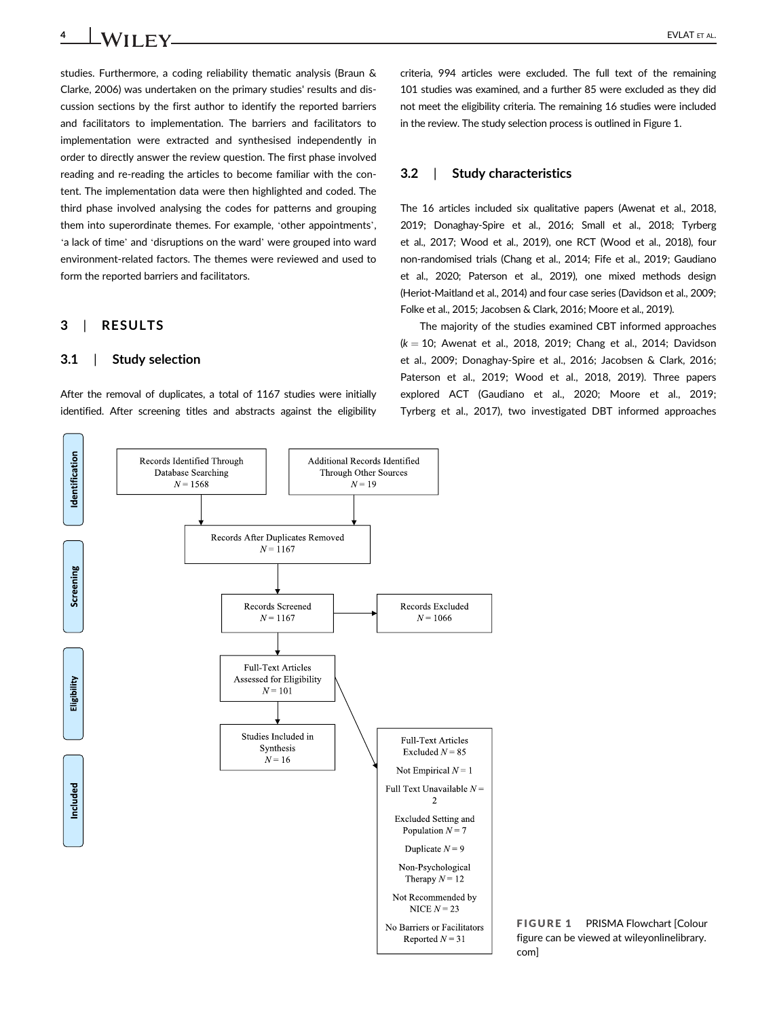studies. Furthermore, a coding reliability thematic analysis (Braun & Clarke, 2006) was undertaken on the primary studies' results and discussion sections by the first author to identify the reported barriers and facilitators to implementation. The barriers and facilitators to implementation were extracted and synthesised independently in order to directly answer the review question. The first phase involved reading and re-reading the articles to become familiar with the content. The implementation data were then highlighted and coded. The third phase involved analysing the codes for patterns and grouping them into superordinate themes. For example, 'other appointments', 'a lack of time' and 'disruptions on the ward' were grouped into ward environment-related factors. The themes were reviewed and used to form the reported barriers and facilitators.

#### 3 | RESULTS

#### 3.1 | Study selection

After the removal of duplicates, a total of 1167 studies were initially identified. After screening titles and abstracts against the eligibility criteria, 994 articles were excluded. The full text of the remaining 101 studies was examined, and a further 85 were excluded as they did not meet the eligibility criteria. The remaining 16 studies were included in the review. The study selection process is outlined in Figure 1.

#### 3.2 | Study characteristics

The 16 articles included six qualitative papers (Awenat et al., 2018, 2019; Donaghay-Spire et al., 2016; Small et al., 2018; Tyrberg et al., 2017; Wood et al., 2019), one RCT (Wood et al., 2018), four non-randomised trials (Chang et al., 2014; Fife et al., 2019; Gaudiano et al., 2020; Paterson et al., 2019), one mixed methods design (Heriot-Maitland et al., 2014) and four case series (Davidson et al., 2009; Folke et al., 2015; Jacobsen & Clark, 2016; Moore et al., 2019).

The majority of the studies examined CBT informed approaches  $(k = 10;$  Awenat et al., 2018, 2019; Chang et al., 2014; Davidson et al., 2009; Donaghay-Spire et al., 2016; Jacobsen & Clark, 2016; Paterson et al., 2019; Wood et al., 2018, 2019). Three papers explored ACT (Gaudiano et al., 2020; Moore et al., 2019; Tyrberg et al., 2017), two investigated DBT informed approaches



FIGURE 1 PRISMA Flowchart [Colour figure can be viewed at [wileyonlinelibrary.](http://wileyonlinelibrary.com) [com\]](http://wileyonlinelibrary.com)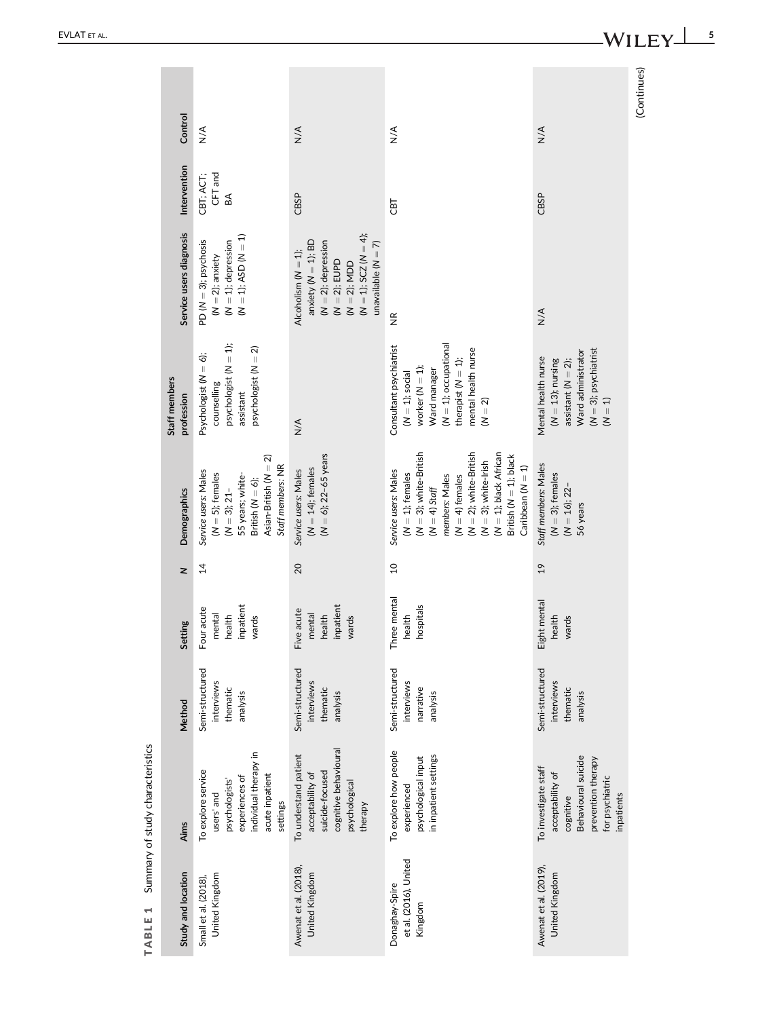| Study and location    | Aims                                                                                                                                | Method                                                 | Setting                                              | z              | Demographics                                                                                                                                                                                                                                                             | Staff members<br>profession                                                                                                                                                   | Service users diagnosis                                                                                                                                                  | Intervention                           | Control       |
|-----------------------|-------------------------------------------------------------------------------------------------------------------------------------|--------------------------------------------------------|------------------------------------------------------|----------------|--------------------------------------------------------------------------------------------------------------------------------------------------------------------------------------------------------------------------------------------------------------------------|-------------------------------------------------------------------------------------------------------------------------------------------------------------------------------|--------------------------------------------------------------------------------------------------------------------------------------------------------------------------|----------------------------------------|---------------|
|                       | individual therapy in<br>To explore service<br>acute inpatient<br>experiences of<br>psychologists'<br>users' and<br>settings        | Semi-structured<br>interviews<br>thematic<br>analysis  | inpatient<br>Four acute<br>mental<br>health<br>wards | $\ddot{4}$     | Asian-British ( $N = 2$ )<br>Staff members: NR<br>Service users: Males<br>$(N = 5)$ ; females<br>55 years; white-<br>British ( $N = 6$ );<br>$(N = 3)$ ; 21-                                                                                                             | psychologist (N = 1);<br>psychologist ( $N = 2$ )<br>Psychologist ( $N = 6$ );<br>counselling<br>assistant                                                                    | $(N = 1)$ ; depression<br>$(N = 1)$ ; ASD $(N = 1)$<br>PD ( $N = 3$ ); psychosis<br>$(N = 2)$ ; anxiety                                                                  | CFT and<br>CBT; ACT;<br>$\mathbb{S}^2$ | $\frac{4}{2}$ |
|                       | cognitive behavioural<br>To understand patient<br>suicide-focused<br>acceptability of<br>psychological<br>therapy                   | Semi-structured<br>interviews<br>thematic<br>analysis  | inpatient<br>Five acute<br>mental<br>health<br>wards | 20             | (N = 6); 22-65 years<br>$(N = 14)$ ; females<br>Service users: Males                                                                                                                                                                                                     | $\leq$                                                                                                                                                                        | $(N = 1);$ SCZ $(N = 4);$<br>anxiety $(N = 1)$ ; BD<br>$(M = 2)$ ; depression<br>$(M = 2)$ ; EUPD<br>$(M = 2)$ ; MDD<br>unavailable $(N = 7)$<br>Alcoholism ( $N = 1$ ); | CBSP                                   | $\frac{4}{2}$ |
| et al. (2016), United | To explore how people<br>in inpatient settings<br>psychological input<br>experienced                                                | Semi-structured<br>interviews<br>narrative<br>analysis | Three mental<br>hospitals<br>health                  | $\overline{a}$ | $(N = 3)$ ; white-British<br>$(N = 2)$ ; white-British<br>$(N = 1)$ ; black African<br>British (N = 1); black<br>$(N = 3)$ ; white-Irish<br>Caribbean $(N = 1)$<br>Service users: Males<br>$(N = 1)$ ; females<br>members: Males<br>$(N = 4)$ females<br>$(N = 4)$ Staff | $(N = 1)$ ; occupational<br>Consultant psychiatrist<br>mental health nurse<br>therapist $(N = 1)$ ;<br>worker ( $N = 1$ );<br>Ward manager<br>$(N = 1)$ ; social<br>$(N = 2)$ | $\frac{\alpha}{2}$                                                                                                                                                       | <b>CBT</b>                             | $\frac{4}{2}$ |
|                       | Behavioural suicide<br>prevention therapy<br>To investigate staff<br>acceptability of<br>for psychiatric<br>inpatients<br>cognitive | Semi-structured<br>interviews<br>thematic<br>analysis  | Eight mental<br>health<br>wards                      | $\overline{c}$ | Staff members: Males<br>$(N = 3)$ ; females<br>$(N = 16)$ ; 22-<br>56 years                                                                                                                                                                                              | $(M = 3)$ ; psychiatrist<br>Ward administrator<br>Mental health nurse<br>$(N = 13)$ ; nursing<br>assistant ( $N = 2$ );<br>$(N = 1)$                                          | $\frac{4}{2}$                                                                                                                                                            | CBSP                                   | $\frac{4}{2}$ |
|                       |                                                                                                                                     |                                                        |                                                      |                |                                                                                                                                                                                                                                                                          |                                                                                                                                                                               |                                                                                                                                                                          |                                        | (Continues)   |

TABLE 1 Summary of study characteristics TABLE 1 Summary of study characteristics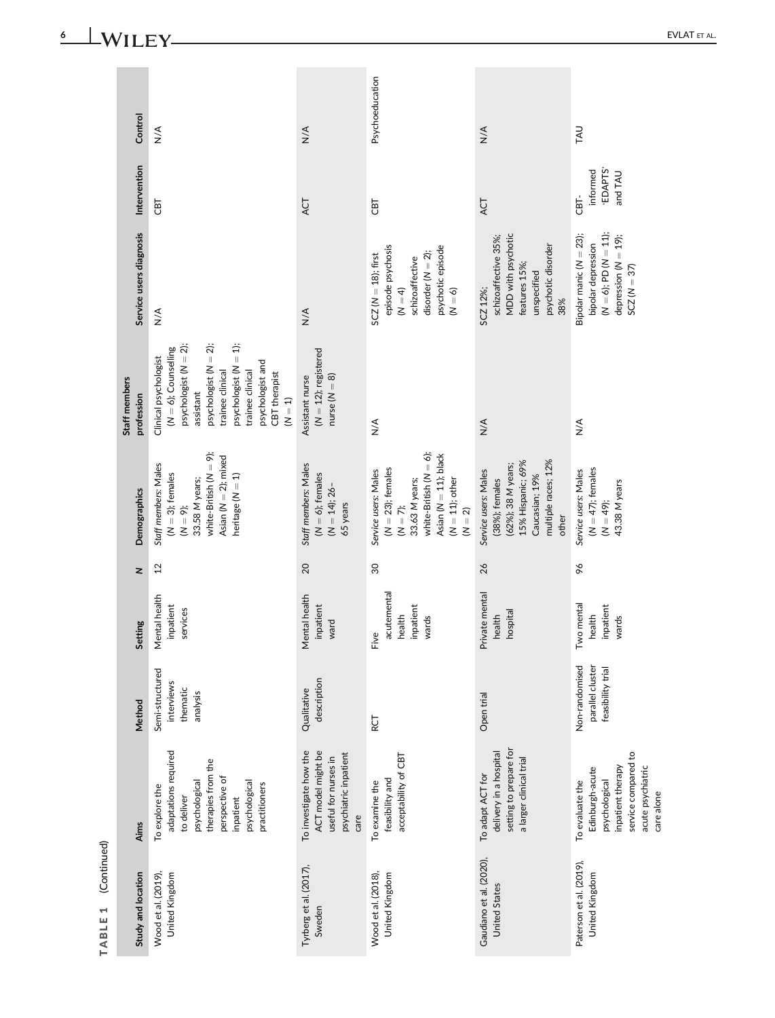| Study and location                              | Aims                                                                                                                                                         | Method                                                  | Setting                                             | z               | Demographics                                                                                                                                                               | Staff members<br>profession                                                                                                                                                                                                                  | Service users diagnosis                                                                                                                | Intervention                                   | Control         |
|-------------------------------------------------|--------------------------------------------------------------------------------------------------------------------------------------------------------------|---------------------------------------------------------|-----------------------------------------------------|-----------------|----------------------------------------------------------------------------------------------------------------------------------------------------------------------------|----------------------------------------------------------------------------------------------------------------------------------------------------------------------------------------------------------------------------------------------|----------------------------------------------------------------------------------------------------------------------------------------|------------------------------------------------|-----------------|
| Wood et al. (2019),<br>United Kingdom           | adaptations required<br>therapies from the<br>perspective of<br>psychological<br>psychological<br>practitioners<br>To explore the<br>to deliver<br>inpatient | Semi-structured<br>interviews<br>thematic<br>analysis   | Mental health<br>inpatient<br>services              | $\overline{12}$ | white-British $(N = 9)$ ;<br>Asian ( $N = 2$ ); mixed<br>Staff members: Males<br>$(N = 3)$ ; females<br>heritage $(N = 1)$<br>33.58 M years;<br>$(N = 9);$                 | psychologist ( $N = 2$ );<br>psychologist ( $N = 1$ );<br>psychologist ( $N = 2$ );<br>$(N = 6)$ ; Counselling<br>Clinical psychologist<br>psychologist and<br>trainee dinical<br>trainee dinical<br>CBT therapist<br>assistant<br>$(N = 1)$ | $\leq$                                                                                                                                 | <b>LEC</b>                                     | $\frac{4}{2}$   |
| Tyrberg et al. (2017),<br>Sweden                | To investigate how the<br>ACT model might be<br>psychiatric inpatient<br>useful for nurses in<br>care                                                        | description<br>Qualitative                              | Mental health<br>inpatient<br>ward                  | $\overline{c}$  | Staff members: Males<br>$(N = 6)$ ; females<br>$(N = 14); 26-$<br>65 years                                                                                                 | $(N = 12)$ ; registered<br>nurse ( $N = 8$ )<br>Assistant nurse                                                                                                                                                                              | $\frac{4}{\sqrt{2}}$                                                                                                                   | ACT                                            | $\frac{4}{2}$   |
| Wood et al. (2018),<br>United Kingdom           | acceptability of CBT<br>feasibility and<br>To examine the                                                                                                    | RCT                                                     | acutemental<br>inpatient<br>health<br>wards<br>Five | $\infty$        | white-British ( $N = 6$ );<br>Asian ( $N = 11$ ); black<br>$(N = 23)$ ; females<br>Service users: Males<br>$(N = 11)$ ; other<br>33.63 M years;<br>$(N = 7);$<br>$(N = 2)$ | $\leq$                                                                                                                                                                                                                                       | psychotic episode<br>episode psychosis<br>disorder ( $N = 2$ );<br>$SCZ (N = 18)$ ; first<br>schizoaffective<br>$(N = 4)$<br>$(N = 6)$ | СBT                                            | Psychoeducation |
| Gaudiano et al. (2020),<br><b>United States</b> | setting to prepare for<br>delivery in a hospital<br>a larger clinical trial<br>To adapt ACT for                                                              | Open trial                                              | Private mental<br>hospital<br>health                | 26              | multiple races; 12%<br>15% Hispanic; 69%<br>(62%); 38 M years;<br>Service users: Males<br>Caucasian; 19%<br>(38%); females<br>other                                        | $\frac{4}{\sqrt{2}}$                                                                                                                                                                                                                         | MDD with psychotic<br>schizoaffective 35%;<br>psychotic disorder<br>features 15%;<br>unspecified<br>SCZ 12%;<br>38%                    | ACT                                            | $\frac{4}{2}$   |
| Paterson et al. (2019),<br>United Kingdom       | service compared to<br>inpatient therapy<br>acute psychiatric<br>Edinburgh-acute<br>psychological<br>To evaluate the<br>care alone                           | Non-randomised<br>parallel cluster<br>feasibility trial | inpatient<br>Two mental<br>health<br>wards          | $\frac{8}{2}$   | $(N = 47)$ ; females<br>Service users: Males<br>43.38 M years<br>$(N = 49);$                                                                                               | $\leq$                                                                                                                                                                                                                                       | $(N = 6)$ ; PD $(N = 11)$ ;<br>depression ( $N = 19$ );<br>Bipolar manic ( $N = 23$ );<br>bipolar depression<br>$SCZ (N = 37)$         | <b>EDAPTS</b><br>informed<br>and TAU<br>$CBT-$ | <b>LYJ</b>      |

TABLE 1 (Continued) TABLE 1 (Continued)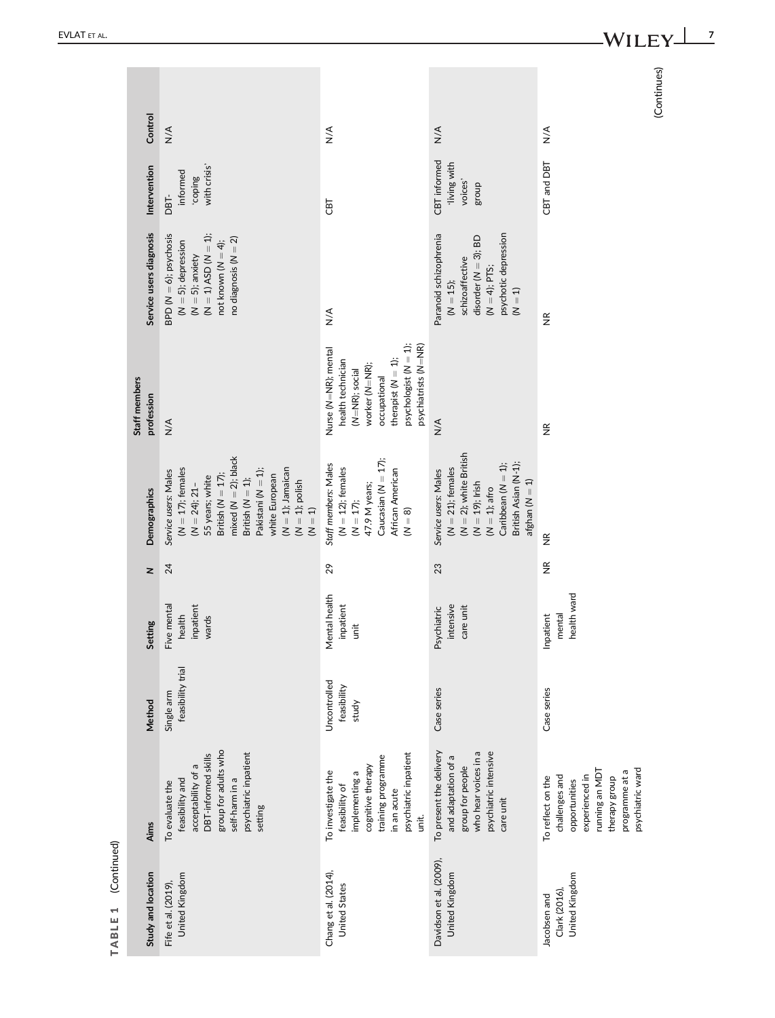| Control                     | $\leq$                                                                                                                                                                                                                                                              | $\frac{4}{2}$                                                                                                                                                            | $\leq$                                                                                                                                                                                   | $\frac{4}{2}$                                                                                                                                               |
|-----------------------------|---------------------------------------------------------------------------------------------------------------------------------------------------------------------------------------------------------------------------------------------------------------------|--------------------------------------------------------------------------------------------------------------------------------------------------------------------------|------------------------------------------------------------------------------------------------------------------------------------------------------------------------------------------|-------------------------------------------------------------------------------------------------------------------------------------------------------------|
| Intervention                | with crisis'<br>informed<br>Su <sub>l</sub> doo,<br>DBT-                                                                                                                                                                                                            | ГBJ                                                                                                                                                                      | CBT informed<br>'living with<br>voices'<br>group                                                                                                                                         | CBT and DBT                                                                                                                                                 |
| Service users diagnosis     | BPD ( $N = 6$ ); psychosis<br>$(N = 1)$ ASD $(N = 1)$ ;<br>no diagnosis ( $N = 2$ )<br>not known $(N = 4)$ ;<br>$(N = 5)$ ; depression<br>$(N = 5)$ ; anxiety                                                                                                       | $\leq$                                                                                                                                                                   | Paranoid schizophrenia<br>psychotic depression<br>disorder ( $N = 3$ ); BD<br>schizoaffective<br>$(M = 4; PTS;$<br>$(N = 15);$<br>$(N = 1)$                                              | $\widetilde{\Xi}$                                                                                                                                           |
| Staff members<br>profession | $\leq$                                                                                                                                                                                                                                                              | psychologist (N = 1);<br>psychiatrists (N=NR)<br>Nurse (N=NR); mental<br>therapist ( $N = 1$ );<br>health technician<br>worker (N=NR);<br>(N=NR); social<br>occupational | $\leq$                                                                                                                                                                                   | $\frac{\alpha}{2}$                                                                                                                                          |
| Demographics                | mixed ( $N = 2$ ); black<br>$(N = 1)$ ; Jamaican<br>$(N = 17)$ ; females<br>Pakistani (N = 1);<br>Service users: Males<br>British ( $N = 17$ );<br>white European<br>55 years; white<br>British ( $N = 1$ );<br>$(N = 1)$ ; polish<br>$(N = 1)$<br>$(N = 24)$ ; 21- | Caucasian ( $N = 17$ );<br>Staff members: Males<br>African American<br>$(N = 12)$ ; females<br>47.9 M years;<br>$(N = 17);$<br>$(N = 8)$                                 | $(N = 2)$ ; white British<br>British Asian (N-1);<br>Caribbean $(N = 1)$ ;<br>$(N = 21)$ ; females<br>Service users: Males<br>afghan $(N = 1)$<br>$(N = 19)$ ; Irish<br>$(N = 1)$ ; afro | $\widetilde{\Xi}$                                                                                                                                           |
| $\geq$                      | 24                                                                                                                                                                                                                                                                  | 29                                                                                                                                                                       | 23                                                                                                                                                                                       | $\frac{\alpha}{2}$                                                                                                                                          |
| Setting                     | inpatient<br>Five mental<br>health<br>wards                                                                                                                                                                                                                         | Mental health<br>inpatient<br>ţ                                                                                                                                          | intensive<br>Psychiatric<br>care unit                                                                                                                                                    | health ward<br>mental<br>Inpatient                                                                                                                          |
| Method                      | feasibility trial<br>Single arm                                                                                                                                                                                                                                     | Uncontrolled<br>feasibility<br>study                                                                                                                                     | Case series                                                                                                                                                                              | Case series                                                                                                                                                 |
| Aims                        | group for adults who<br>psychiatric inpatient<br>DBT-informed skills<br>acceptability of a<br>self-harm in a<br>feasibility and<br>To evaluate the<br>setting                                                                                                       | psychiatric inpatient<br>training programme<br>cognitive therapy<br>To investigate the<br>implementing a<br>feasibility of<br>in an acute<br>unit.                       | who hear voices in a<br>psychiatric intensive<br>To present the delivery<br>and adaptation of a<br>group for people<br>care unit                                                         | psychiatric ward<br>programme at a<br>running an MD <sub>1</sub><br>experienced in<br>challenges and<br>therapy group<br>To reflect on the<br>opportunities |
| Study and location          | United Kingdom<br>Fife et al. (2019),                                                                                                                                                                                                                               | Chang et al. (2014),<br><b>United States</b>                                                                                                                             | Davidson et al. (2009),<br>United Kingdom                                                                                                                                                | United Kingdom<br>Clark (2016)<br>Jacobsen and                                                                                                              |

TABLE 1 (Continued) TABLE 1 (Continued)

(Continues) (Continues)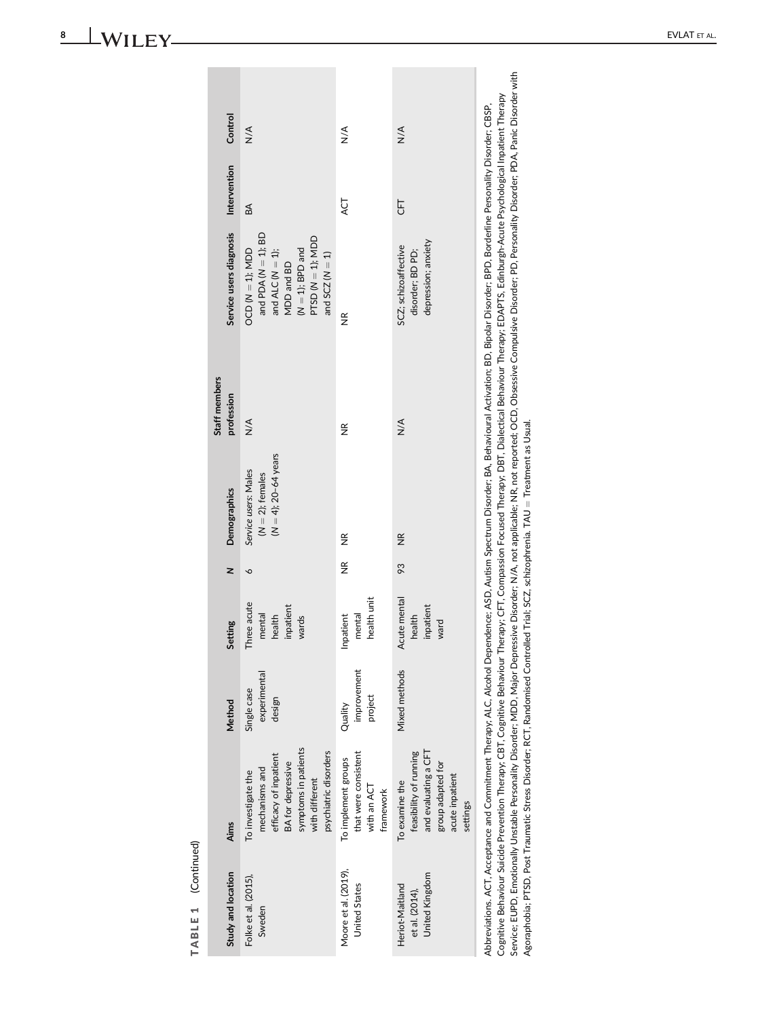| TABLE 1 (Continued)                                 |                                                                                                                                                                                                                                                                                                                                                                                                                               |                                       |                                                       |                   |                                                                        |                             |                                                                                                                                                            |              |               |
|-----------------------------------------------------|-------------------------------------------------------------------------------------------------------------------------------------------------------------------------------------------------------------------------------------------------------------------------------------------------------------------------------------------------------------------------------------------------------------------------------|---------------------------------------|-------------------------------------------------------|-------------------|------------------------------------------------------------------------|-----------------------------|------------------------------------------------------------------------------------------------------------------------------------------------------------|--------------|---------------|
| Study and location                                  | Aims                                                                                                                                                                                                                                                                                                                                                                                                                          | Method                                | Setting                                               | z                 | Demographics                                                           | Staff members<br>profession | Service users diagnosis                                                                                                                                    | Intervention | Control       |
| Folke et al. (2015),<br>Sweden                      | symptoms in patients<br>psychiatric disorders<br>efficacy of inpatient<br><b>BA</b> for depressive<br>mechanisms and<br>To investigate the<br>with different                                                                                                                                                                                                                                                                  | experimental<br>Single case<br>design | Three acute<br>inpatient<br>mental<br>health<br>wards | ∘                 | $(M = 4)$ ; 20-64 years<br>Service users: Males<br>$(N = 2)$ ; females | $\frac{4}{2}$               | and PDA $(N = 1)$ ; BD<br>PTSD ( $N = 1$ ); MDD<br>$QCD (N = 1); MDD$<br>$(N = 1)$ ; BPD and<br>and $ALC (N = 1)$ ;<br>and $SCZ$ ( $N = 1$ )<br>MDD and BD | $B\triangle$ | $\frac{4}{2}$ |
| Moore et al. (2019),<br><b>United States</b>        | that were consistent<br>To implement groups<br>with an ACT<br>framework                                                                                                                                                                                                                                                                                                                                                       | improvement<br>project<br>Quality     | health unit<br>mental<br>Inpatient                    | $\widetilde{\Xi}$ | $\frac{\alpha}{2}$                                                     | $\frac{\alpha}{2}$          | $\widetilde{\Xi}$                                                                                                                                          | <b>ACT</b>   | $\frac{4}{2}$ |
| United Kingdom<br>Heriot-Maitland<br>et al. (2014), | and evaluating a CFT<br>feasibility of running<br>group adapted for<br>acute inpatient<br>To examine the<br>settings                                                                                                                                                                                                                                                                                                          | Mixed methods                         | Acute mental<br>inpatient<br>health<br>ward           | 8                 | $\frac{\alpha}{2}$                                                     | $\frac{4}{5}$               | depression; anxiety<br>SCZ; schizoaffective<br>disorder; BD PD;                                                                                            | <b>UH</b>    | $\frac{4}{2}$ |
|                                                     | Cognitive Behaviour Suidde Prevention Therapy; CBT, Cognitive Behaviour Therapy; CFT, Compassion Focused Therapy; DBT, Dialectical Behaviour Therapy; EDAPTS, Edinburgh-Acute Psychological Inpatient Therapy<br>Abbreviations. ACT, Acceptance and Commitment Therapy; ALC, Alcohol Dependence; ASD, Autism Spectrum Disorder; BA, Behavioural Activation; BD, Bipolar Disorder; BPD, Borderline Personality Disorder; CBSP, |                                       |                                                       |                   |                                                                        |                             |                                                                                                                                                            |              |               |

 $\sim$ 

 $\overline{\phantom{a}}$ 

Service; EUPD, Emotionally Unstable Personality Disorder; MDD, Major Depressive Disorder; NVA, not applicable; NR, not reported; OCD, Obsessive Compulsive Disorder; PD, Personality Disorder; PDA, Panic Disorder with<br>Agorap Service; EUPD, Emotionally Unstable Personality Disorder; MDD, Major Depressive Disorder; N/A, not applicable; NR, not reported; OCD, Obsessive Compulsive Disorder; PD, Personality Disorder; PDA, Panic Disorder with Agoraphobia; PTSD, Post Traumatic Stress Disorder; RCT, Randomised Controlled Trial; SCZ, schizophrenia. TAU = Treatment as Usual.

# $8$  WILEY-

**College**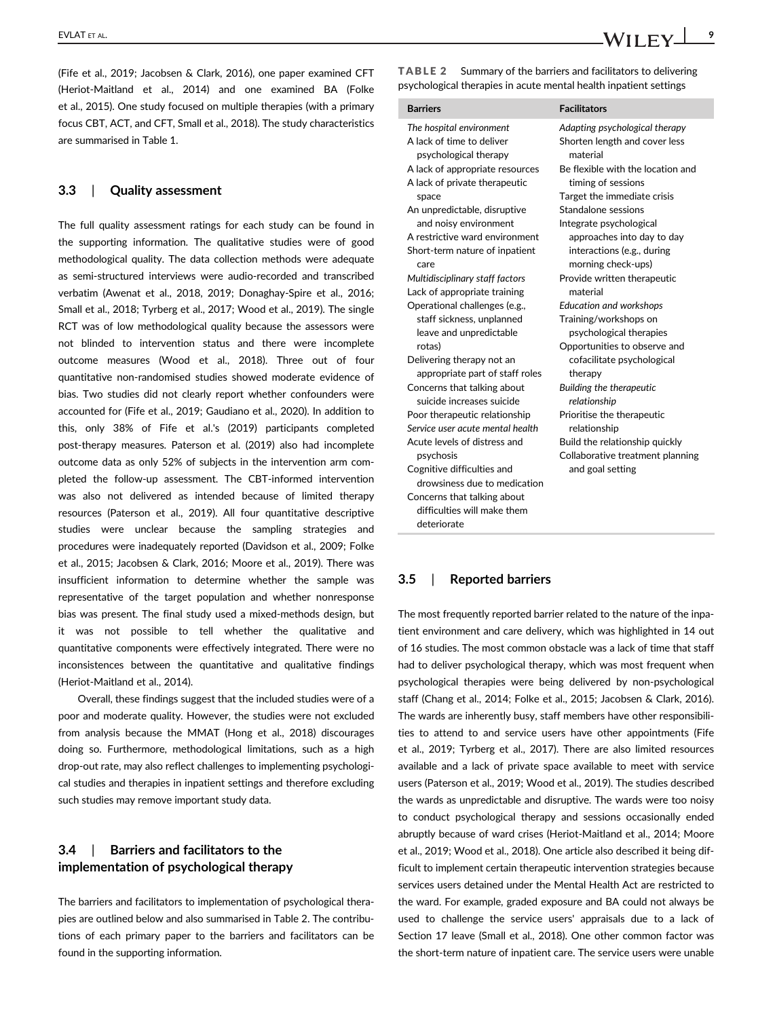(Fife et al., 2019; Jacobsen & Clark, 2016), one paper examined CFT (Heriot-Maitland et al., 2014) and one examined BA (Folke et al., 2015). One study focused on multiple therapies (with a primary focus CBT, ACT, and CFT, Small et al., 2018). The study characteristics are summarised in Table 1.

#### 3.3 | Quality assessment

The full quality assessment ratings for each study can be found in the supporting information. The qualitative studies were of good methodological quality. The data collection methods were adequate as semi-structured interviews were audio-recorded and transcribed verbatim (Awenat et al., 2018, 2019; Donaghay-Spire et al., 2016; Small et al., 2018; Tyrberg et al., 2017; Wood et al., 2019). The single RCT was of low methodological quality because the assessors were not blinded to intervention status and there were incomplete outcome measures (Wood et al., 2018). Three out of four quantitative non-randomised studies showed moderate evidence of bias. Two studies did not clearly report whether confounders were accounted for (Fife et al., 2019; Gaudiano et al., 2020). In addition to this, only 38% of Fife et al.'s (2019) participants completed post-therapy measures. Paterson et al. (2019) also had incomplete outcome data as only 52% of subjects in the intervention arm completed the follow-up assessment. The CBT-informed intervention was also not delivered as intended because of limited therapy resources (Paterson et al., 2019). All four quantitative descriptive studies were unclear because the sampling strategies and procedures were inadequately reported (Davidson et al., 2009; Folke et al., 2015; Jacobsen & Clark, 2016; Moore et al., 2019). There was insufficient information to determine whether the sample was representative of the target population and whether nonresponse bias was present. The final study used a mixed-methods design, but it was not possible to tell whether the qualitative and quantitative components were effectively integrated. There were no inconsistences between the quantitative and qualitative findings (Heriot-Maitland et al., 2014).

Overall, these findings suggest that the included studies were of a poor and moderate quality. However, the studies were not excluded from analysis because the MMAT (Hong et al., 2018) discourages doing so. Furthermore, methodological limitations, such as a high drop-out rate, may also reflect challenges to implementing psychological studies and therapies in inpatient settings and therefore excluding such studies may remove important study data.

#### 3.4 | Barriers and facilitators to the implementation of psychological therapy

The barriers and facilitators to implementation of psychological therapies are outlined below and also summarised in Table 2. The contributions of each primary paper to the barriers and facilitators can be found in the supporting information.

TABLE 2 Summary of the barriers and facilitators to delivering psychological therapies in acute mental health inpatient settings

| <b>Barriers</b>                                                  | <b>Facilitators</b>                                     |
|------------------------------------------------------------------|---------------------------------------------------------|
| The hospital environment                                         | Adapting psychological therapy                          |
| A lack of time to deliver<br>psychological therapy               | Shorten length and cover less<br>material               |
| A lack of appropriate resources<br>A lack of private therapeutic | Be flexible with the location and<br>timing of sessions |
| space                                                            | Target the immediate crisis                             |
| An unpredictable, disruptive                                     | Standalone sessions                                     |
| and noisy environment<br>A restrictive ward environment          | Integrate psychological<br>approaches into day to day   |
| Short-term nature of inpatient                                   | interactions (e.g., during                              |
| care                                                             | morning check-ups)                                      |
| Multidisciplinary staff factors                                  | Provide written therapeutic                             |
| Lack of appropriate training                                     | material                                                |
| Operational challenges (e.g.,                                    | <b>Education and workshops</b>                          |
| staff sickness, unplanned                                        | Training/workshops on                                   |
| leave and unpredictable                                          | psychological therapies                                 |
| rotas)                                                           | Opportunities to observe and                            |
| Delivering therapy not an<br>appropriate part of staff roles     | cofacilitate psychological<br>therapy                   |
| Concerns that talking about                                      | <b>Building the therapeutic</b>                         |
| suicide increases suicide                                        | relationship                                            |
| Poor therapeutic relationship                                    | Prioritise the therapeutic                              |
| Service user acute mental health                                 | relationship                                            |
| Acute levels of distress and                                     | Build the relationship quickly                          |
| psychosis                                                        | Collaborative treatment planning                        |
| Cognitive difficulties and                                       | and goal setting                                        |
| drowsiness due to medication                                     |                                                         |
| Concerns that talking about<br>difficulties will make them       |                                                         |

#### 3.5 | Reported barriers

deteriorate

The most frequently reported barrier related to the nature of the inpatient environment and care delivery, which was highlighted in 14 out of 16 studies. The most common obstacle was a lack of time that staff had to deliver psychological therapy, which was most frequent when psychological therapies were being delivered by non-psychological staff (Chang et al., 2014; Folke et al., 2015; Jacobsen & Clark, 2016). The wards are inherently busy, staff members have other responsibilities to attend to and service users have other appointments (Fife et al., 2019; Tyrberg et al., 2017). There are also limited resources available and a lack of private space available to meet with service users (Paterson et al., 2019; Wood et al., 2019). The studies described the wards as unpredictable and disruptive. The wards were too noisy to conduct psychological therapy and sessions occasionally ended abruptly because of ward crises (Heriot-Maitland et al., 2014; Moore et al., 2019; Wood et al., 2018). One article also described it being difficult to implement certain therapeutic intervention strategies because services users detained under the Mental Health Act are restricted to the ward. For example, graded exposure and BA could not always be used to challenge the service users' appraisals due to a lack of Section 17 leave (Small et al., 2018). One other common factor was the short-term nature of inpatient care. The service users were unable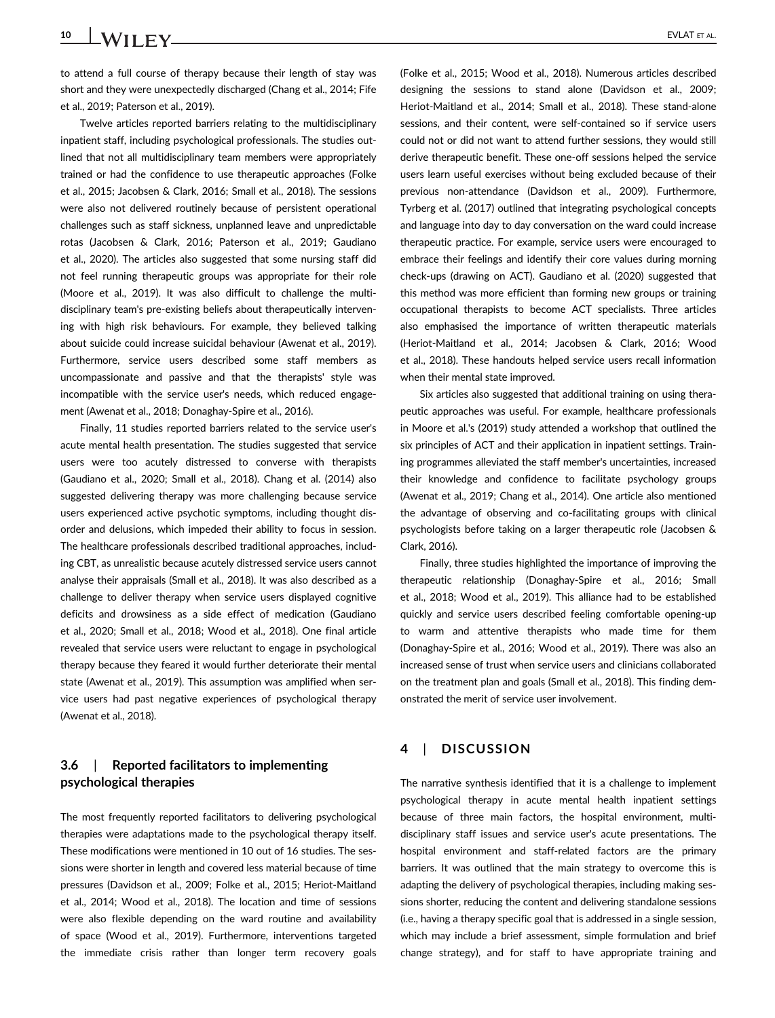### 10 EVLAT ET AL.

to attend a full course of therapy because their length of stay was short and they were unexpectedly discharged (Chang et al., 2014; Fife et al., 2019; Paterson et al., 2019).

Twelve articles reported barriers relating to the multidisciplinary inpatient staff, including psychological professionals. The studies outlined that not all multidisciplinary team members were appropriately trained or had the confidence to use therapeutic approaches (Folke et al., 2015; Jacobsen & Clark, 2016; Small et al., 2018). The sessions were also not delivered routinely because of persistent operational challenges such as staff sickness, unplanned leave and unpredictable rotas (Jacobsen & Clark, 2016; Paterson et al., 2019; Gaudiano et al., 2020). The articles also suggested that some nursing staff did not feel running therapeutic groups was appropriate for their role (Moore et al., 2019). It was also difficult to challenge the multidisciplinary team's pre-existing beliefs about therapeutically intervening with high risk behaviours. For example, they believed talking about suicide could increase suicidal behaviour (Awenat et al., 2019). Furthermore, service users described some staff members as uncompassionate and passive and that the therapists' style was incompatible with the service user's needs, which reduced engagement (Awenat et al., 2018; Donaghay-Spire et al., 2016).

Finally, 11 studies reported barriers related to the service user's acute mental health presentation. The studies suggested that service users were too acutely distressed to converse with therapists (Gaudiano et al., 2020; Small et al., 2018). Chang et al. (2014) also suggested delivering therapy was more challenging because service users experienced active psychotic symptoms, including thought disorder and delusions, which impeded their ability to focus in session. The healthcare professionals described traditional approaches, including CBT, as unrealistic because acutely distressed service users cannot analyse their appraisals (Small et al., 2018). It was also described as a challenge to deliver therapy when service users displayed cognitive deficits and drowsiness as a side effect of medication (Gaudiano et al., 2020; Small et al., 2018; Wood et al., 2018). One final article revealed that service users were reluctant to engage in psychological therapy because they feared it would further deteriorate their mental state (Awenat et al., 2019). This assumption was amplified when service users had past negative experiences of psychological therapy (Awenat et al., 2018).

#### 3.6 | Reported facilitators to implementing psychological therapies

The most frequently reported facilitators to delivering psychological therapies were adaptations made to the psychological therapy itself. These modifications were mentioned in 10 out of 16 studies. The sessions were shorter in length and covered less material because of time pressures (Davidson et al., 2009; Folke et al., 2015; Heriot-Maitland et al., 2014; Wood et al., 2018). The location and time of sessions were also flexible depending on the ward routine and availability of space (Wood et al., 2019). Furthermore, interventions targeted the immediate crisis rather than longer term recovery goals

(Folke et al., 2015; Wood et al., 2018). Numerous articles described designing the sessions to stand alone (Davidson et al., 2009; Heriot-Maitland et al., 2014; Small et al., 2018). These stand-alone sessions, and their content, were self-contained so if service users could not or did not want to attend further sessions, they would still derive therapeutic benefit. These one-off sessions helped the service users learn useful exercises without being excluded because of their previous non-attendance (Davidson et al., 2009). Furthermore, Tyrberg et al. (2017) outlined that integrating psychological concepts and language into day to day conversation on the ward could increase therapeutic practice. For example, service users were encouraged to embrace their feelings and identify their core values during morning check-ups (drawing on ACT). Gaudiano et al. (2020) suggested that this method was more efficient than forming new groups or training occupational therapists to become ACT specialists. Three articles also emphasised the importance of written therapeutic materials (Heriot-Maitland et al., 2014; Jacobsen & Clark, 2016; Wood et al., 2018). These handouts helped service users recall information when their mental state improved.

Six articles also suggested that additional training on using therapeutic approaches was useful. For example, healthcare professionals in Moore et al.'s (2019) study attended a workshop that outlined the six principles of ACT and their application in inpatient settings. Training programmes alleviated the staff member's uncertainties, increased their knowledge and confidence to facilitate psychology groups (Awenat et al., 2019; Chang et al., 2014). One article also mentioned the advantage of observing and co-facilitating groups with clinical psychologists before taking on a larger therapeutic role (Jacobsen & Clark, 2016).

Finally, three studies highlighted the importance of improving the therapeutic relationship (Donaghay-Spire et al., 2016; Small et al., 2018; Wood et al., 2019). This alliance had to be established quickly and service users described feeling comfortable opening-up to warm and attentive therapists who made time for them (Donaghay-Spire et al., 2016; Wood et al., 2019). There was also an increased sense of trust when service users and clinicians collaborated on the treatment plan and goals (Small et al., 2018). This finding demonstrated the merit of service user involvement.

#### 4 | DISCUSSION

The narrative synthesis identified that it is a challenge to implement psychological therapy in acute mental health inpatient settings because of three main factors, the hospital environment, multidisciplinary staff issues and service user's acute presentations. The hospital environment and staff-related factors are the primary barriers. It was outlined that the main strategy to overcome this is adapting the delivery of psychological therapies, including making sessions shorter, reducing the content and delivering standalone sessions (i.e., having a therapy specific goal that is addressed in a single session, which may include a brief assessment, simple formulation and brief change strategy), and for staff to have appropriate training and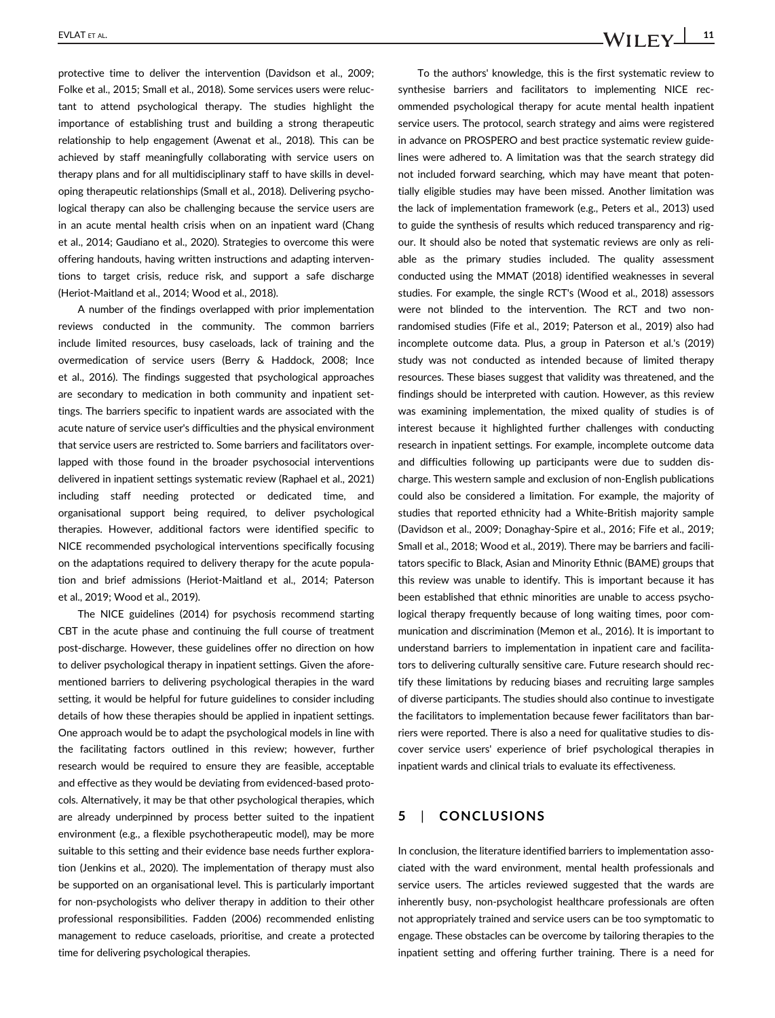protective time to deliver the intervention (Davidson et al., 2009; Folke et al., 2015; Small et al., 2018). Some services users were reluctant to attend psychological therapy. The studies highlight the importance of establishing trust and building a strong therapeutic relationship to help engagement (Awenat et al., 2018). This can be achieved by staff meaningfully collaborating with service users on therapy plans and for all multidisciplinary staff to have skills in developing therapeutic relationships (Small et al., 2018). Delivering psychological therapy can also be challenging because the service users are in an acute mental health crisis when on an inpatient ward (Chang et al., 2014; Gaudiano et al., 2020). Strategies to overcome this were offering handouts, having written instructions and adapting interventions to target crisis, reduce risk, and support a safe discharge (Heriot-Maitland et al., 2014; Wood et al., 2018).

A number of the findings overlapped with prior implementation reviews conducted in the community. The common barriers include limited resources, busy caseloads, lack of training and the overmedication of service users (Berry & Haddock, 2008; Ince et al., 2016). The findings suggested that psychological approaches are secondary to medication in both community and inpatient settings. The barriers specific to inpatient wards are associated with the acute nature of service user's difficulties and the physical environment that service users are restricted to. Some barriers and facilitators overlapped with those found in the broader psychosocial interventions delivered in inpatient settings systematic review (Raphael et al., 2021) including staff needing protected or dedicated time, and organisational support being required, to deliver psychological therapies. However, additional factors were identified specific to NICE recommended psychological interventions specifically focusing on the adaptations required to delivery therapy for the acute population and brief admissions (Heriot-Maitland et al., 2014; Paterson et al., 2019; Wood et al., 2019).

The NICE guidelines (2014) for psychosis recommend starting CBT in the acute phase and continuing the full course of treatment post-discharge. However, these guidelines offer no direction on how to deliver psychological therapy in inpatient settings. Given the aforementioned barriers to delivering psychological therapies in the ward setting, it would be helpful for future guidelines to consider including details of how these therapies should be applied in inpatient settings. One approach would be to adapt the psychological models in line with the facilitating factors outlined in this review; however, further research would be required to ensure they are feasible, acceptable and effective as they would be deviating from evidenced-based protocols. Alternatively, it may be that other psychological therapies, which are already underpinned by process better suited to the inpatient environment (e.g., a flexible psychotherapeutic model), may be more suitable to this setting and their evidence base needs further exploration (Jenkins et al., 2020). The implementation of therapy must also be supported on an organisational level. This is particularly important for non-psychologists who deliver therapy in addition to their other professional responsibilities. Fadden (2006) recommended enlisting management to reduce caseloads, prioritise, and create a protected time for delivering psychological therapies.

To the authors' knowledge, this is the first systematic review to synthesise barriers and facilitators to implementing NICE recommended psychological therapy for acute mental health inpatient service users. The protocol, search strategy and aims were registered in advance on PROSPERO and best practice systematic review guidelines were adhered to. A limitation was that the search strategy did not included forward searching, which may have meant that potentially eligible studies may have been missed. Another limitation was the lack of implementation framework (e.g., Peters et al., 2013) used to guide the synthesis of results which reduced transparency and rigour. It should also be noted that systematic reviews are only as reliable as the primary studies included. The quality assessment conducted using the MMAT (2018) identified weaknesses in several studies. For example, the single RCT's (Wood et al., 2018) assessors were not blinded to the intervention. The RCT and two nonrandomised studies (Fife et al., 2019; Paterson et al., 2019) also had incomplete outcome data. Plus, a group in Paterson et al.'s (2019) study was not conducted as intended because of limited therapy resources. These biases suggest that validity was threatened, and the findings should be interpreted with caution. However, as this review was examining implementation, the mixed quality of studies is of interest because it highlighted further challenges with conducting research in inpatient settings. For example, incomplete outcome data and difficulties following up participants were due to sudden discharge. This western sample and exclusion of non-English publications could also be considered a limitation. For example, the majority of studies that reported ethnicity had a White-British majority sample (Davidson et al., 2009; Donaghay-Spire et al., 2016; Fife et al., 2019; Small et al., 2018; Wood et al., 2019). There may be barriers and facilitators specific to Black, Asian and Minority Ethnic (BAME) groups that this review was unable to identify. This is important because it has been established that ethnic minorities are unable to access psychological therapy frequently because of long waiting times, poor communication and discrimination (Memon et al., 2016). It is important to understand barriers to implementation in inpatient care and facilitators to delivering culturally sensitive care. Future research should rectify these limitations by reducing biases and recruiting large samples of diverse participants. The studies should also continue to investigate the facilitators to implementation because fewer facilitators than barriers were reported. There is also a need for qualitative studies to discover service users' experience of brief psychological therapies in inpatient wards and clinical trials to evaluate its effectiveness.

#### 5 | CONCLUSIONS

In conclusion, the literature identified barriers to implementation associated with the ward environment, mental health professionals and service users. The articles reviewed suggested that the wards are inherently busy, non-psychologist healthcare professionals are often not appropriately trained and service users can be too symptomatic to engage. These obstacles can be overcome by tailoring therapies to the inpatient setting and offering further training. There is a need for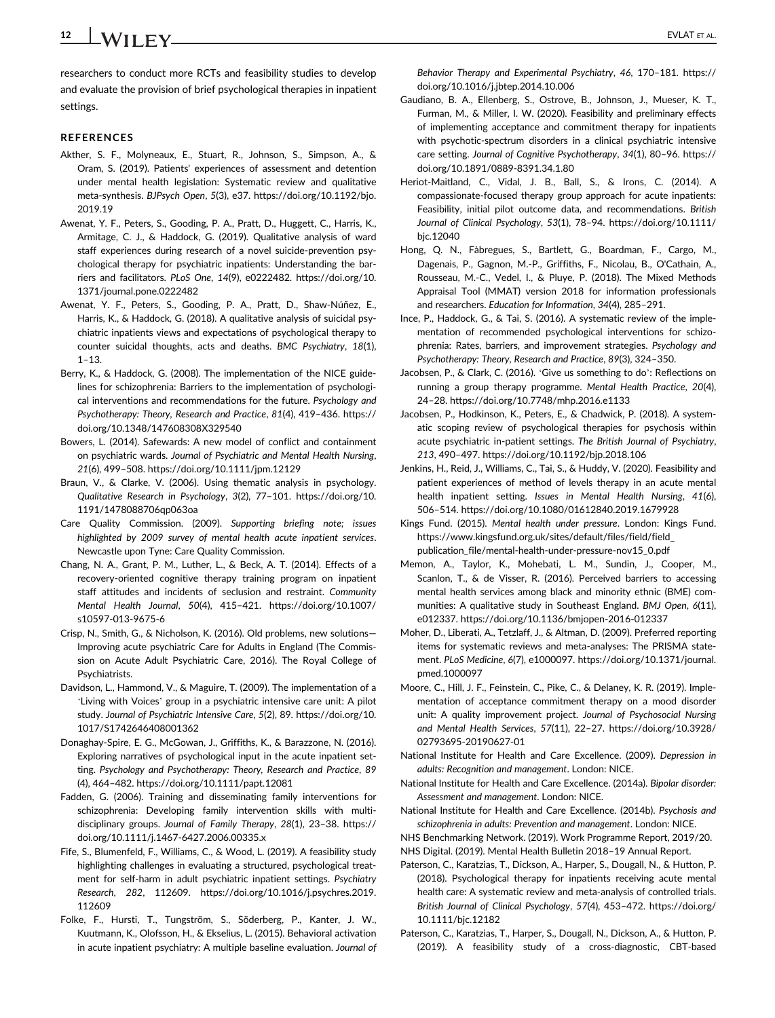researchers to conduct more RCTs and feasibility studies to develop and evaluate the provision of brief psychological therapies in inpatient settings.

#### REFERENCES

- Akther, S. F., Molyneaux, E., Stuart, R., Johnson, S., Simpson, A., & Oram, S. (2019). Patients' experiences of assessment and detention under mental health legislation: Systematic review and qualitative meta-synthesis. BJPsych Open, 5(3), e37. [https://doi.org/10.1192/bjo.](https://doi.org/10.1192/bjo.2019.19) [2019.19](https://doi.org/10.1192/bjo.2019.19)
- Awenat, Y. F., Peters, S., Gooding, P. A., Pratt, D., Huggett, C., Harris, K., Armitage, C. J., & Haddock, G. (2019). Qualitative analysis of ward staff experiences during research of a novel suicide-prevention psychological therapy for psychiatric inpatients: Understanding the barriers and facilitators. PLoS One, 14(9), e0222482. [https://doi.org/10.](https://doi.org/10.1371/journal.pone.0222482) [1371/journal.pone.0222482](https://doi.org/10.1371/journal.pone.0222482)
- Awenat, Y. F., Peters, S., Gooding, P. A., Pratt, D., Shaw-Núñez, E., Harris, K., & Haddock, G. (2018). A qualitative analysis of suicidal psychiatric inpatients views and expectations of psychological therapy to counter suicidal thoughts, acts and deaths. BMC Psychiatry, 18(1), 1–13.
- Berry, K., & Haddock, G. (2008). The implementation of the NICE guidelines for schizophrenia: Barriers to the implementation of psychological interventions and recommendations for the future. Psychology and Psychotherapy: Theory, Research and Practice, 81(4), 419–436. [https://](https://doi.org/10.1348/147608308X329540) [doi.org/10.1348/147608308X329540](https://doi.org/10.1348/147608308X329540)
- Bowers, L. (2014). Safewards: A new model of conflict and containment on psychiatric wards. Journal of Psychiatric and Mental Health Nursing, 21(6), 499–508.<https://doi.org/10.1111/jpm.12129>
- Braun, V., & Clarke, V. (2006). Using thematic analysis in psychology. Qualitative Research in Psychology, 3(2), 77–101. [https://doi.org/10.](https://doi.org/10.1191/1478088706qp063oa) [1191/1478088706qp063oa](https://doi.org/10.1191/1478088706qp063oa)
- Care Quality Commission. (2009). Supporting briefing note; issues highlighted by 2009 survey of mental health acute inpatient services. Newcastle upon Tyne: Care Quality Commission.
- Chang, N. A., Grant, P. M., Luther, L., & Beck, A. T. (2014). Effects of a recovery-oriented cognitive therapy training program on inpatient staff attitudes and incidents of seclusion and restraint. Community Mental Health Journal, 50(4), 415–421. [https://doi.org/10.1007/](https://doi.org/10.1007/s10597-013-9675-6) [s10597-013-9675-6](https://doi.org/10.1007/s10597-013-9675-6)
- Crisp, N., Smith, G., & Nicholson, K. (2016). Old problems, new solutions— Improving acute psychiatric Care for Adults in England (The Commission on Acute Adult Psychiatric Care, 2016). The Royal College of Psychiatrists.
- Davidson, L., Hammond, V., & Maguire, T. (2009). The implementation of a 'Living with Voices' group in a psychiatric intensive care unit: A pilot study. Journal of Psychiatric Intensive Care, 5(2), 89. [https://doi.org/10.](https://doi.org/10.1017/S1742646408001362) [1017/S1742646408001362](https://doi.org/10.1017/S1742646408001362)
- Donaghay-Spire, E. G., McGowan, J., Griffiths, K., & Barazzone, N. (2016). Exploring narratives of psychological input in the acute inpatient setting. Psychology and Psychotherapy: Theory, Research and Practice, 89 (4), 464–482.<https://doi.org/10.1111/papt.12081>
- Fadden, G. (2006). Training and disseminating family interventions for schizophrenia: Developing family intervention skills with multidisciplinary groups. Journal of Family Therapy, 28(1), 23–38. [https://](https://doi.org/10.1111/j.1467-6427.2006.00335.x) [doi.org/10.1111/j.1467-6427.2006.00335.x](https://doi.org/10.1111/j.1467-6427.2006.00335.x)
- Fife, S., Blumenfeld, F., Williams, C., & Wood, L. (2019). A feasibility study highlighting challenges in evaluating a structured, psychological treatment for self-harm in adult psychiatric inpatient settings. Psychiatry Research, 282, 112609. [https://doi.org/10.1016/j.psychres.2019.](https://doi.org/10.1016/j.psychres.2019.112609) [112609](https://doi.org/10.1016/j.psychres.2019.112609)
- Folke, F., Hursti, T., Tungström, S., Söderberg, P., Kanter, J. W., Kuutmann, K., Olofsson, H., & Ekselius, L. (2015). Behavioral activation in acute inpatient psychiatry: A multiple baseline evaluation. Journal of

Behavior Therapy and Experimental Psychiatry, 46, 170–181. [https://](https://doi.org/10.1016/j.jbtep.2014.10.006) [doi.org/10.1016/j.jbtep.2014.10.006](https://doi.org/10.1016/j.jbtep.2014.10.006)

- Gaudiano, B. A., Ellenberg, S., Ostrove, B., Johnson, J., Mueser, K. T., Furman, M., & Miller, I. W. (2020). Feasibility and preliminary effects of implementing acceptance and commitment therapy for inpatients with psychotic-spectrum disorders in a clinical psychiatric intensive care setting. Journal of Cognitive Psychotherapy, 34(1), 80–96. [https://](https://doi.org/10.1891/0889-8391.34.1.80) [doi.org/10.1891/0889-8391.34.1.80](https://doi.org/10.1891/0889-8391.34.1.80)
- Heriot-Maitland, C., Vidal, J. B., Ball, S., & Irons, C. (2014). A compassionate-focused therapy group approach for acute inpatients: Feasibility, initial pilot outcome data, and recommendations. British Journal of Clinical Psychology, 53(1), 78–94. [https://doi.org/10.1111/](https://doi.org/10.1111/bjc.12040) [bjc.12040](https://doi.org/10.1111/bjc.12040)
- Hong, Q. N., Fàbregues, S., Bartlett, G., Boardman, F., Cargo, M., Dagenais, P., Gagnon, M.-P., Griffiths, F., Nicolau, B., O'Cathain, A., Rousseau, M.-C., Vedel, I., & Pluye, P. (2018). The Mixed Methods Appraisal Tool (MMAT) version 2018 for information professionals and researchers. Education for Information, 34(4), 285–291.
- Ince, P., Haddock, G., & Tai, S. (2016). A systematic review of the implementation of recommended psychological interventions for schizophrenia: Rates, barriers, and improvement strategies. Psychology and Psychotherapy: Theory, Research and Practice, 89(3), 324–350.
- Jacobsen, P., & Clark, C. (2016). 'Give us something to do': Reflections on running a group therapy programme. Mental Health Practice, 20(4), 24–28.<https://doi.org/10.7748/mhp.2016.e1133>
- Jacobsen, P., Hodkinson, K., Peters, E., & Chadwick, P. (2018). A systematic scoping review of psychological therapies for psychosis within acute psychiatric in-patient settings. The British Journal of Psychiatry, 213, 490–497.<https://doi.org/10.1192/bjp.2018.106>
- Jenkins, H., Reid, J., Williams, C., Tai, S., & Huddy, V. (2020). Feasibility and patient experiences of method of levels therapy in an acute mental health inpatient setting. Issues in Mental Health Nursing, 41(6), 506–514.<https://doi.org/10.1080/01612840.2019.1679928>
- Kings Fund. (2015). Mental health under pressure. London: Kings Fund. [https://www.kingsfund.org.uk/sites/default/files/field/field\\_](https://www.kingsfund.org.uk/sites/default/files/field/field_publication_file/mental-health-under-pressure-nov15_0.pdf) [publication\\_file/mental-health-under-pressure-nov15\\_0.pdf](https://www.kingsfund.org.uk/sites/default/files/field/field_publication_file/mental-health-under-pressure-nov15_0.pdf)
- Memon, A., Taylor, K., Mohebati, L. M., Sundin, J., Cooper, M., Scanlon, T., & de Visser, R. (2016). Perceived barriers to accessing mental health services among black and minority ethnic (BME) communities: A qualitative study in Southeast England. BMJ Open, 6(11), e012337.<https://doi.org/10.1136/bmjopen-2016-012337>
- Moher, D., Liberati, A., Tetzlaff, J., & Altman, D. (2009). Preferred reporting items for systematic reviews and meta-analyses: The PRISMA statement. PLoS Medicine, 6(7), e1000097. [https://doi.org/10.1371/journal.](https://doi.org/10.1371/journal.pmed.1000097) [pmed.1000097](https://doi.org/10.1371/journal.pmed.1000097)
- Moore, C., Hill, J. F., Feinstein, C., Pike, C., & Delaney, K. R. (2019). Implementation of acceptance commitment therapy on a mood disorder unit: A quality improvement project. Journal of Psychosocial Nursing and Mental Health Services, 57(11), 22–27. [https://doi.org/10.3928/](https://doi.org/10.3928/02793695-20190627-01) [02793695-20190627-01](https://doi.org/10.3928/02793695-20190627-01)
- National Institute for Health and Care Excellence. (2009). Depression in adults: Recognition and management. London: NICE.
- National Institute for Health and Care Excellence. (2014a). Bipolar disorder: Assessment and management. London: NICE.
- National Institute for Health and Care Excellence. (2014b). Psychosis and schizophrenia in adults: Prevention and management. London: NICE.
- NHS Benchmarking Network. (2019). Work Programme Report, 2019/20.
- NHS Digital. (2019). Mental Health Bulletin 2018–19 Annual Report.
- Paterson, C., Karatzias, T., Dickson, A., Harper, S., Dougall, N., & Hutton, P. (2018). Psychological therapy for inpatients receiving acute mental health care: A systematic review and meta-analysis of controlled trials. British Journal of Clinical Psychology, 57(4), 453–472. [https://doi.org/](https://doi.org/10.1111/bjc.12182) [10.1111/bjc.12182](https://doi.org/10.1111/bjc.12182)
- Paterson, C., Karatzias, T., Harper, S., Dougall, N., Dickson, A., & Hutton, P. (2019). A feasibility study of a cross-diagnostic, CBT-based